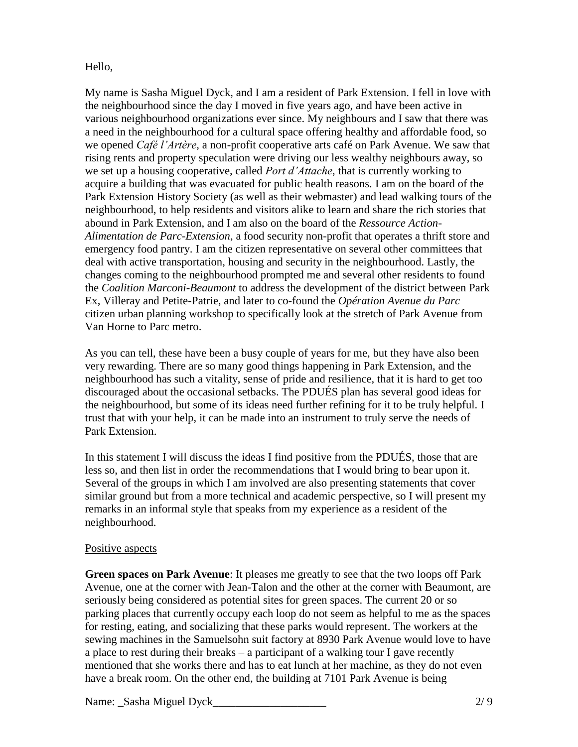### Hello,

My name is Sasha Miguel Dyck, and I am a resident of Park Extension. I fell in love with the neighbourhood since the day I moved in five years ago, and have been active in various neighbourhood organizations ever since. My neighbours and I saw that there was a need in the neighbourhood for a cultural space offering healthy and affordable food, so we opened *Café l'Artère*, a non-profit cooperative arts café on Park Avenue. We saw that rising rents and property speculation were driving our less wealthy neighbours away, so we set up a housing cooperative, called *Port d'Attache*, that is currently working to acquire a building that was evacuated for public health reasons. I am on the board of the Park Extension History Society (as well as their webmaster) and lead walking tours of the neighbourhood, to help residents and visitors alike to learn and share the rich stories that abound in Park Extension, and I am also on the board of the *Ressource Action-Alimentation de Parc-Extension*, a food security non-profit that operates a thrift store and emergency food pantry. I am the citizen representative on several other committees that deal with active transportation, housing and security in the neighbourhood. Lastly, the changes coming to the neighbourhood prompted me and several other residents to found the *Coalition Marconi-Beaumont* to address the development of the district between Park Ex, Villeray and Petite-Patrie, and later to co-found the *Opération Avenue du Parc* citizen urban planning workshop to specifically look at the stretch of Park Avenue from Van Horne to Parc metro.

As you can tell, these have been a busy couple of years for me, but they have also been very rewarding. There are so many good things happening in Park Extension, and the neighbourhood has such a vitality, sense of pride and resilience, that it is hard to get too discouraged about the occasional setbacks. The PDUÉS plan has several good ideas for the neighbourhood, but some of its ideas need further refining for it to be truly helpful. I trust that with your help, it can be made into an instrument to truly serve the needs of Park Extension.

In this statement I will discuss the ideas I find positive from the PDUÉS, those that are less so, and then list in order the recommendations that I would bring to bear upon it. Several of the groups in which I am involved are also presenting statements that cover similar ground but from a more technical and academic perspective, so I will present my remarks in an informal style that speaks from my experience as a resident of the neighbourhood.

### Positive aspects

**Green spaces on Park Avenue**: It pleases me greatly to see that the two loops off Park Avenue, one at the corner with Jean-Talon and the other at the corner with Beaumont, are seriously being considered as potential sites for green spaces. The current 20 or so parking places that currently occupy each loop do not seem as helpful to me as the spaces for resting, eating, and socializing that these parks would represent. The workers at the sewing machines in the Samuelsohn suit factory at 8930 Park Avenue would love to have a place to rest during their breaks – a participant of a walking tour I gave recently mentioned that she works there and has to eat lunch at her machine, as they do not even have a break room. On the other end, the building at 7101 Park Avenue is being

Name: Sasha Miguel Dyck 2/ 9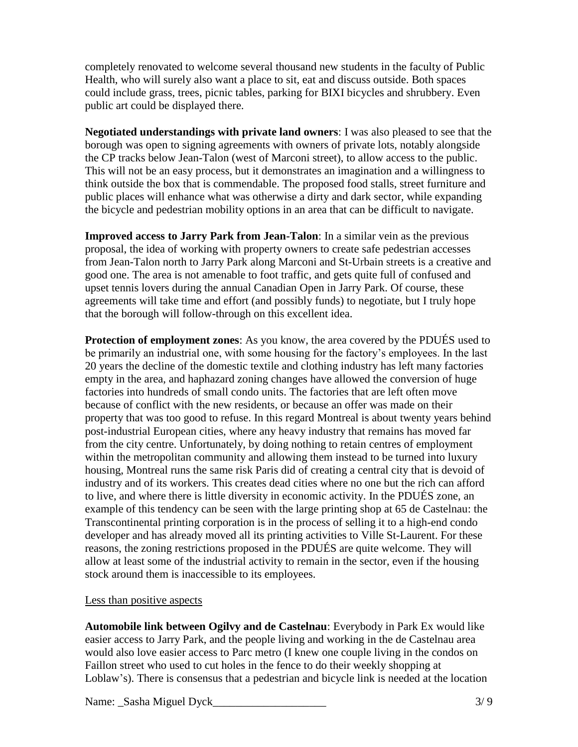completely renovated to welcome several thousand new students in the faculty of Public Health, who will surely also want a place to sit, eat and discuss outside. Both spaces could include grass, trees, picnic tables, parking for BIXI bicycles and shrubbery. Even public art could be displayed there.

**Negotiated understandings with private land owners**: I was also pleased to see that the borough was open to signing agreements with owners of private lots, notably alongside the CP tracks below Jean-Talon (west of Marconi street), to allow access to the public. This will not be an easy process, but it demonstrates an imagination and a willingness to think outside the box that is commendable. The proposed food stalls, street furniture and public places will enhance what was otherwise a dirty and dark sector, while expanding the bicycle and pedestrian mobility options in an area that can be difficult to navigate.

**Improved access to Jarry Park from Jean-Talon**: In a similar vein as the previous proposal, the idea of working with property owners to create safe pedestrian accesses from Jean-Talon north to Jarry Park along Marconi and St-Urbain streets is a creative and good one. The area is not amenable to foot traffic, and gets quite full of confused and upset tennis lovers during the annual Canadian Open in Jarry Park. Of course, these agreements will take time and effort (and possibly funds) to negotiate, but I truly hope that the borough will follow-through on this excellent idea.

**Protection of employment zones**: As you know, the area covered by the PDUÉS used to be primarily an industrial one, with some housing for the factory's employees. In the last 20 years the decline of the domestic textile and clothing industry has left many factories empty in the area, and haphazard zoning changes have allowed the conversion of huge factories into hundreds of small condo units. The factories that are left often move because of conflict with the new residents, or because an offer was made on their property that was too good to refuse. In this regard Montreal is about twenty years behind post-industrial European cities, where any heavy industry that remains has moved far from the city centre. Unfortunately, by doing nothing to retain centres of employment within the metropolitan community and allowing them instead to be turned into luxury housing, Montreal runs the same risk Paris did of creating a central city that is devoid of industry and of its workers. This creates dead cities where no one but the rich can afford to live, and where there is little diversity in economic activity. In the PDUÉS zone, an example of this tendency can be seen with the large printing shop at 65 de Castelnau: the Transcontinental printing corporation is in the process of selling it to a high-end condo developer and has already moved all its printing activities to Ville St-Laurent. For these reasons, the zoning restrictions proposed in the PDUÉS are quite welcome. They will allow at least some of the industrial activity to remain in the sector, even if the housing stock around them is inaccessible to its employees.

#### Less than positive aspects

**Automobile link between Ogilvy and de Castelnau**: Everybody in Park Ex would like easier access to Jarry Park, and the people living and working in the de Castelnau area would also love easier access to Parc metro (I knew one couple living in the condos on Faillon street who used to cut holes in the fence to do their weekly shopping at Loblaw's). There is consensus that a pedestrian and bicycle link is needed at the location

Name: Sasha Miguel Dyck 23/9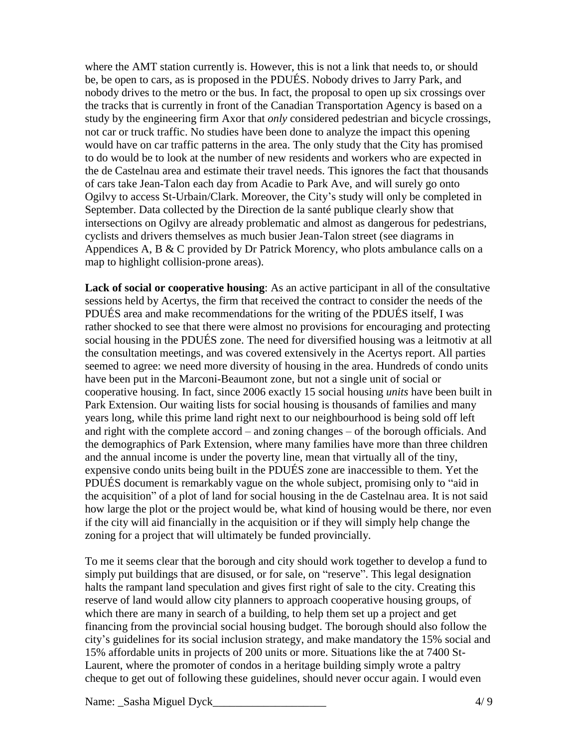where the AMT station currently is. However, this is not a link that needs to, or should be, be open to cars, as is proposed in the PDUÉS. Nobody drives to Jarry Park, and nobody drives to the metro or the bus. In fact, the proposal to open up six crossings over the tracks that is currently in front of the Canadian Transportation Agency is based on a study by the engineering firm Axor that *only* considered pedestrian and bicycle crossings, not car or truck traffic. No studies have been done to analyze the impact this opening would have on car traffic patterns in the area. The only study that the City has promised to do would be to look at the number of new residents and workers who are expected in the de Castelnau area and estimate their travel needs. This ignores the fact that thousands of cars take Jean-Talon each day from Acadie to Park Ave, and will surely go onto Ogilvy to access St-Urbain/Clark. Moreover, the City's study will only be completed in September. Data collected by the Direction de la santé publique clearly show that intersections on Ogilvy are already problematic and almost as dangerous for pedestrians, cyclists and drivers themselves as much busier Jean-Talon street (see diagrams in Appendices A, B & C provided by Dr Patrick Morency, who plots ambulance calls on a map to highlight collision-prone areas).

**Lack of social or cooperative housing**: As an active participant in all of the consultative sessions held by Acertys, the firm that received the contract to consider the needs of the PDUÉS area and make recommendations for the writing of the PDUÉS itself, I was rather shocked to see that there were almost no provisions for encouraging and protecting social housing in the PDUÉS zone. The need for diversified housing was a leitmotiv at all the consultation meetings, and was covered extensively in the Acertys report. All parties seemed to agree: we need more diversity of housing in the area. Hundreds of condo units have been put in the Marconi-Beaumont zone, but not a single unit of social or cooperative housing. In fact, since 2006 exactly 15 social housing *units* have been built in Park Extension. Our waiting lists for social housing is thousands of families and many years long, while this prime land right next to our neighbourhood is being sold off left and right with the complete accord – and zoning changes – of the borough officials. And the demographics of Park Extension, where many families have more than three children and the annual income is under the poverty line, mean that virtually all of the tiny, expensive condo units being built in the PDUÉS zone are inaccessible to them. Yet the PDUÉS document is remarkably vague on the whole subject, promising only to "aid in the acquisition" of a plot of land for social housing in the de Castelnau area. It is not said how large the plot or the project would be, what kind of housing would be there, nor even if the city will aid financially in the acquisition or if they will simply help change the zoning for a project that will ultimately be funded provincially.

To me it seems clear that the borough and city should work together to develop a fund to simply put buildings that are disused, or for sale, on "reserve". This legal designation halts the rampant land speculation and gives first right of sale to the city. Creating this reserve of land would allow city planners to approach cooperative housing groups, of which there are many in search of a building, to help them set up a project and get financing from the provincial social housing budget. The borough should also follow the city's guidelines for its social inclusion strategy, and make mandatory the 15% social and 15% affordable units in projects of 200 units or more. Situations like the at 7400 St-Laurent, where the promoter of condos in a heritage building simply wrote a paltry cheque to get out of following these guidelines, should never occur again. I would even

Name: Sasha Miguel Dyck 4/ 9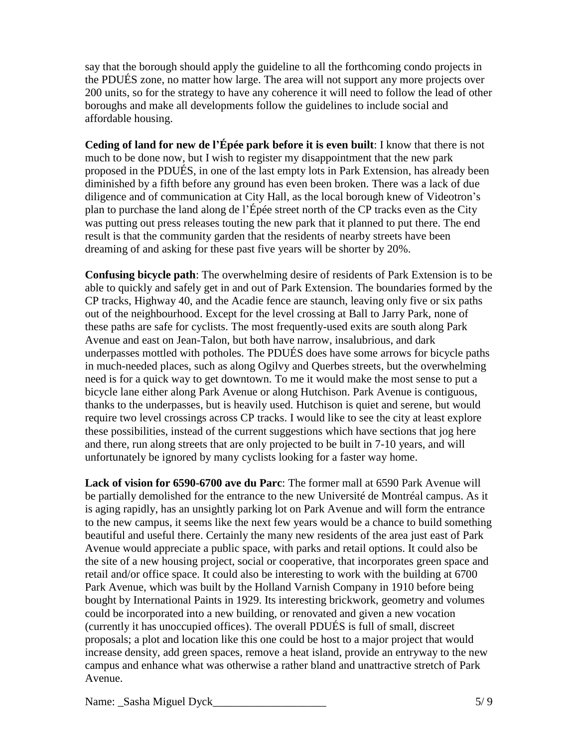say that the borough should apply the guideline to all the forthcoming condo projects in the PDUÉS zone, no matter how large. The area will not support any more projects over 200 units, so for the strategy to have any coherence it will need to follow the lead of other boroughs and make all developments follow the guidelines to include social and affordable housing.

**Ceding of land for new de l'Épée park before it is even built**: I know that there is not much to be done now, but I wish to register my disappointment that the new park proposed in the PDUÉS, in one of the last empty lots in Park Extension, has already been diminished by a fifth before any ground has even been broken. There was a lack of due diligence and of communication at City Hall, as the local borough knew of Videotron's plan to purchase the land along de l'Épée street north of the CP tracks even as the City was putting out press releases touting the new park that it planned to put there. The end result is that the community garden that the residents of nearby streets have been dreaming of and asking for these past five years will be shorter by 20%.

**Confusing bicycle path**: The overwhelming desire of residents of Park Extension is to be able to quickly and safely get in and out of Park Extension. The boundaries formed by the CP tracks, Highway 40, and the Acadie fence are staunch, leaving only five or six paths out of the neighbourhood. Except for the level crossing at Ball to Jarry Park, none of these paths are safe for cyclists. The most frequently-used exits are south along Park Avenue and east on Jean-Talon, but both have narrow, insalubrious, and dark underpasses mottled with potholes. The PDUÉS does have some arrows for bicycle paths in much-needed places, such as along Ogilvy and Querbes streets, but the overwhelming need is for a quick way to get downtown. To me it would make the most sense to put a bicycle lane either along Park Avenue or along Hutchison. Park Avenue is contiguous, thanks to the underpasses, but is heavily used. Hutchison is quiet and serene, but would require two level crossings across CP tracks. I would like to see the city at least explore these possibilities, instead of the current suggestions which have sections that jog here and there, run along streets that are only projected to be built in 7-10 years, and will unfortunately be ignored by many cyclists looking for a faster way home.

**Lack of vision for 6590-6700 ave du Parc**: The former mall at 6590 Park Avenue will be partially demolished for the entrance to the new Université de Montréal campus. As it is aging rapidly, has an unsightly parking lot on Park Avenue and will form the entrance to the new campus, it seems like the next few years would be a chance to build something beautiful and useful there. Certainly the many new residents of the area just east of Park Avenue would appreciate a public space, with parks and retail options. It could also be the site of a new housing project, social or cooperative, that incorporates green space and retail and/or office space. It could also be interesting to work with the building at 6700 Park Avenue, which was built by the Holland Varnish Company in 1910 before being bought by International Paints in 1929. Its interesting brickwork, geometry and volumes could be incorporated into a new building, or renovated and given a new vocation (currently it has unoccupied offices). The overall PDUÉS is full of small, discreet proposals; a plot and location like this one could be host to a major project that would increase density, add green spaces, remove a heat island, provide an entryway to the new campus and enhance what was otherwise a rather bland and unattractive stretch of Park Avenue.

Name: Sasha Miguel Dyck 5/9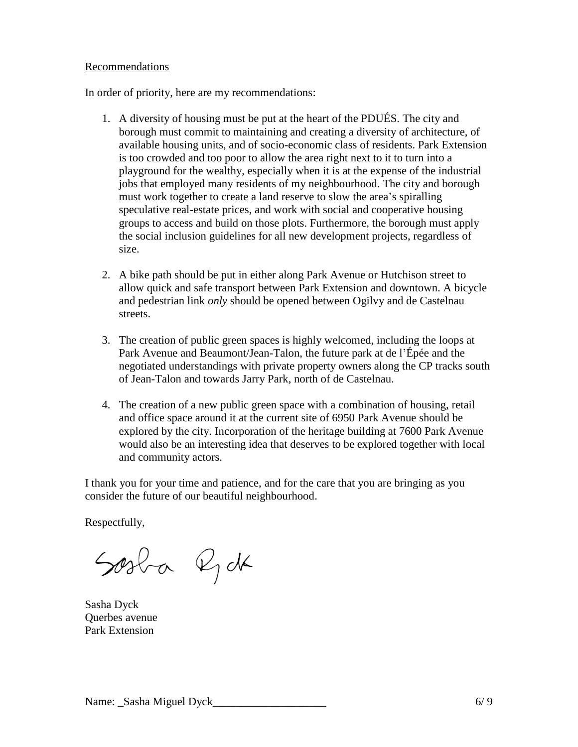### Recommendations

In order of priority, here are my recommendations:

- 1. A diversity of housing must be put at the heart of the PDUÉS. The city and borough must commit to maintaining and creating a diversity of architecture, of available housing units, and of socio-economic class of residents. Park Extension is too crowded and too poor to allow the area right next to it to turn into a playground for the wealthy, especially when it is at the expense of the industrial jobs that employed many residents of my neighbourhood. The city and borough must work together to create a land reserve to slow the area's spiralling speculative real-estate prices, and work with social and cooperative housing groups to access and build on those plots. Furthermore, the borough must apply the social inclusion guidelines for all new development projects, regardless of size.
- 2. A bike path should be put in either along Park Avenue or Hutchison street to allow quick and safe transport between Park Extension and downtown. A bicycle and pedestrian link *only* should be opened between Ogilvy and de Castelnau streets.
- 3. The creation of public green spaces is highly welcomed, including the loops at Park Avenue and Beaumont/Jean-Talon, the future park at de l'Épée and the negotiated understandings with private property owners along the CP tracks south of Jean-Talon and towards Jarry Park, north of de Castelnau.
- 4. The creation of a new public green space with a combination of housing, retail and office space around it at the current site of 6950 Park Avenue should be explored by the city. Incorporation of the heritage building at 7600 Park Avenue would also be an interesting idea that deserves to be explored together with local and community actors.

I thank you for your time and patience, and for the care that you are bringing as you consider the future of our beautiful neighbourhood.

Respectfully,

Sosba Rdk

Sasha Dyck Querbes avenue Park Extension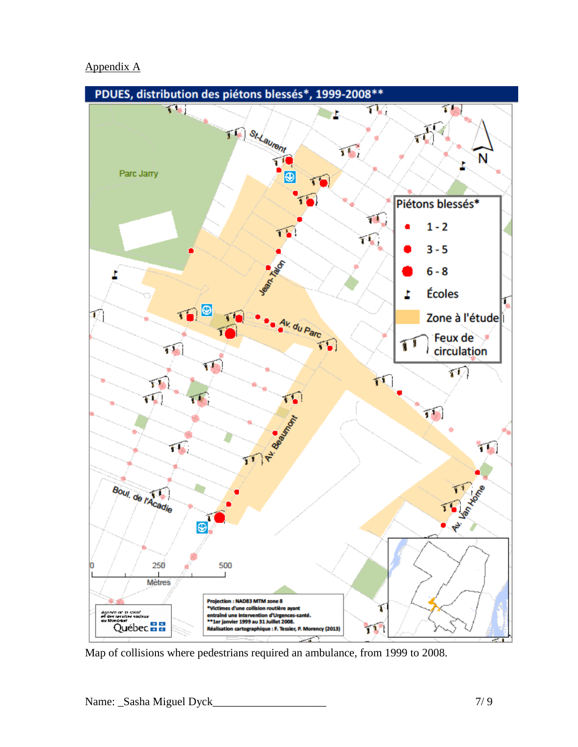# Appendix A



Map of collisions where pedestrians required an ambulance, from 1999 to 2008.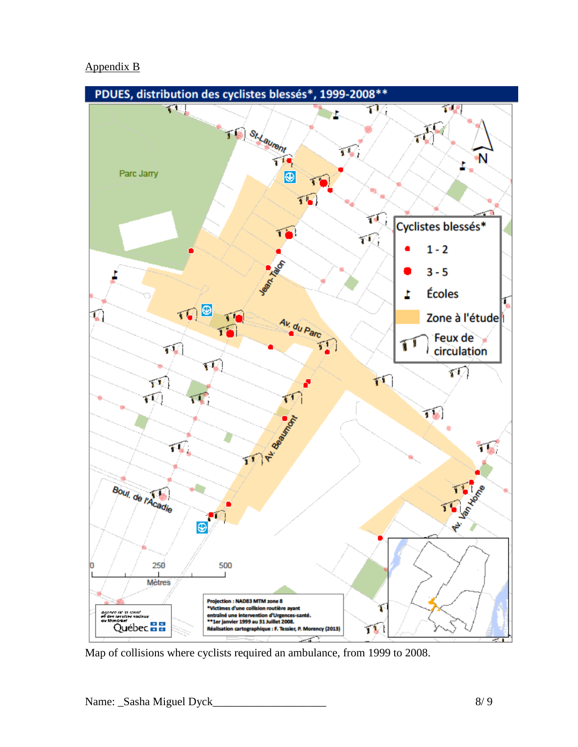## Appendix B



Map of collisions where cyclists required an ambulance, from 1999 to 2008.